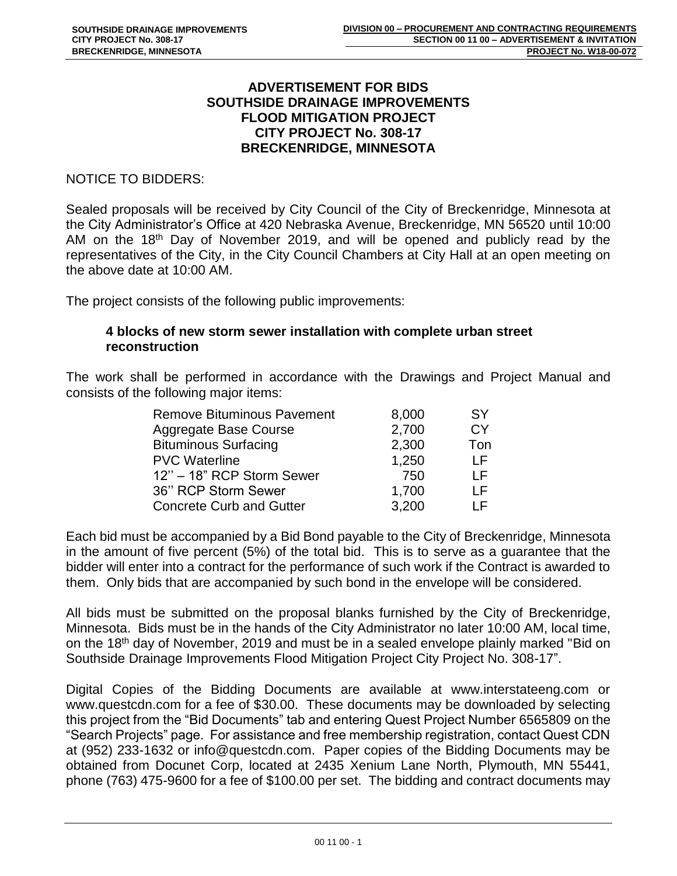## **ADVERTISEMENT FOR BIDS SOUTHSIDE DRAINAGE IMPROVEMENTS FLOOD MITIGATION PROJECT CITY PROJECT No. 308-17 BRECKENRIDGE, MINNESOTA**

NOTICE TO BIDDERS:

Sealed proposals will be received by City Council of the City of Breckenridge, Minnesota at the City Administrator's Office at 420 Nebraska Avenue, Breckenridge, MN 56520 until 10:00 AM on the 18<sup>th</sup> Day of November 2019, and will be opened and publicly read by the representatives of the City, in the City Council Chambers at City Hall at an open meeting on the above date at 10:00 AM.

The project consists of the following public improvements:

## **4 blocks of new storm sewer installation with complete urban street reconstruction**

The work shall be performed in accordance with the Drawings and Project Manual and consists of the following major items:

| <b>Remove Bituminous Pavement</b> | 8,000 | SY  |
|-----------------------------------|-------|-----|
| Aggregate Base Course             | 2,700 | СY  |
| <b>Bituminous Surfacing</b>       | 2,300 | Ton |
| <b>PVC Waterline</b>              | 1,250 | l F |
| 12" - 18" RCP Storm Sewer         | 750   | ΙF  |
| 36" RCP Storm Sewer               | 1,700 | ΙF  |
| <b>Concrete Curb and Gutter</b>   | 3,200 | ΙF  |

Each bid must be accompanied by a Bid Bond payable to the City of Breckenridge, Minnesota in the amount of five percent (5%) of the total bid. This is to serve as a guarantee that the bidder will enter into a contract for the performance of such work if the Contract is awarded to them. Only bids that are accompanied by such bond in the envelope will be considered.

All bids must be submitted on the proposal blanks furnished by the City of Breckenridge, Minnesota. Bids must be in the hands of the City Administrator no later 10:00 AM, local time, on the 18th day of November, 2019 and must be in a sealed envelope plainly marked "Bid on Southside Drainage Improvements Flood Mitigation Project City Project No. 308-17".

Digital Copies of the Bidding Documents are available at www.interstateeng.com or www.questcdn.com for a fee of \$30.00. These documents may be downloaded by selecting this project from the "Bid Documents" tab and entering Quest Project Number 6565809 on the "Search Projects" page. For assistance and free membership registration, contact Quest CDN at (952) 233-1632 or info@questcdn.com. Paper copies of the Bidding Documents may be obtained from Docunet Corp, located at 2435 Xenium Lane North, Plymouth, MN 55441, phone (763) 475-9600 for a fee of \$100.00 per set. The bidding and contract documents may